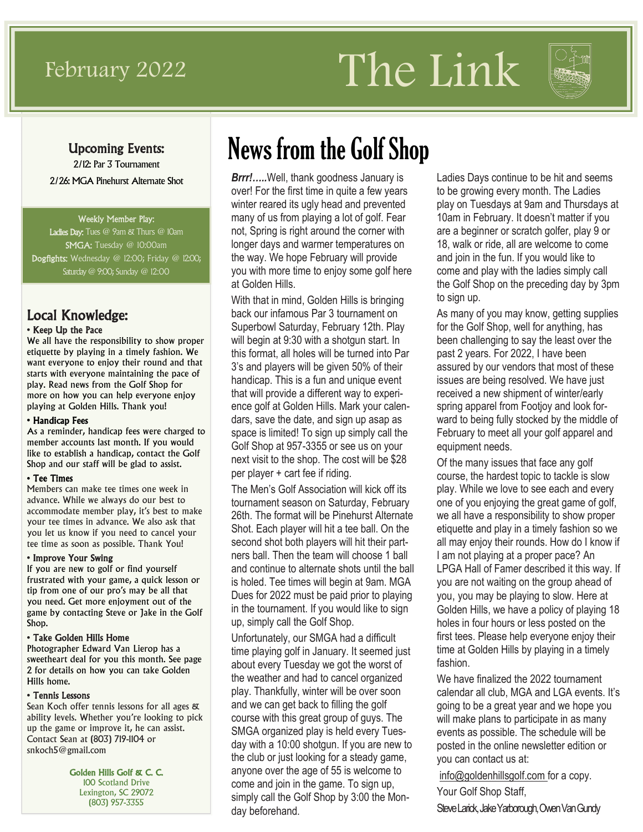# February 2022 The Link



### Upcoming Events:

2/12: Par 3 Tournament 2/26: MGA Pinehurst Alternate Shot

#### Weekly Member Play:

Ladies Day: Tues @ 9am & Thurs @ 10am SMGA: Tuesday @ 10:00am Dogfights: Wednesday @ 12:00; Friday @ 12:00; Saturday @ 9:00; Sunday @ 12:00

### Local Knowledge:

#### • Keep Up the Pace

We all have the responsibility to show proper etiquette by playing in a timely fashion. We want everyone to enjoy their round and that starts with everyone maintaining the pace of play. Read news from the Golf Shop for more on how you can help everyone enjoy playing at Golden Hills. Thank you!

#### • Handicap Fees

As a reminder, handicap fees were charged to member accounts last month. If you would like to establish a handicap, contact the Golf Shop and our staff will be glad to assist.

#### • Tee Times

Members can make tee times one week in advance. While we always do our best to accommodate member play, it's best to make your tee times in advance. We also ask that you let us know if you need to cancel your tee time as soon as possible. Thank You!

#### • Improve Your Swing

If you are new to golf or find yourself frustrated with your game, a quick lesson or tip from one of our pro's may be all that you need. Get more enjoyment out of the game by contacting Steve or Jake in the Golf Shop.

#### • Take Golden Hills Home

Photographer Edward Van Lierop has a sweetheart deal for you this month. See page 2 for details on how you can take Golden Hills home.

#### • Tennis Lessons

Sean Koch offer tennis lessons for all ages & ability levels. Whether you're looking to pick up the game or improve it, he can assist. Contact Sean at (803) 719-1104 or snkoch5@gmail.com

> Golden Hills Golf & C. C. 100 Scotland Drive Lexington, SC 29072 (803) 957-3355

# News from the Golf Shop

*Brrr!…..*Well, thank goodness January is over! For the first time in quite a few years winter reared its ugly head and prevented many of us from playing a lot of golf. Fear not, Spring is right around the corner with longer days and warmer temperatures on the way. We hope February will provide you with more time to enjoy some golf here at Golden Hills.

With that in mind, Golden Hills is bringing back our infamous Par 3 tournament on Superbowl Saturday, February 12th. Play will begin at 9:30 with a shotgun start. In this format, all holes will be turned into Par 3's and players will be given 50% of their handicap. This is a fun and unique event that will provide a different way to experience golf at Golden Hills. Mark your calendars, save the date, and sign up asap as space is limited! To sign up simply call the Golf Shop at 957-3355 or see us on your next visit to the shop. The cost will be \$28 per player + cart fee if riding.

The Men's Golf Association will kick off its tournament season on Saturday, February 26th. The format will be Pinehurst Alternate Shot. Each player will hit a tee ball. On the second shot both players will hit their partners ball. Then the team will choose 1 ball and continue to alternate shots until the ball is holed. Tee times will begin at 9am. MGA Dues for 2022 must be paid prior to playing in the tournament. If you would like to sign up, simply call the Golf Shop.

Unfortunately, our SMGA had a difficult time playing golf in January. It seemed just about every Tuesday we got the worst of the weather and had to cancel organized play. Thankfully, winter will be over soon and we can get back to filling the golf course with this great group of guys. The SMGA organized play is held every Tuesday with a 10:00 shotgun. If you are new to the club or just looking for a steady game, anyone over the age of 55 is welcome to come and join in the game. To sign up, simply call the Golf Shop by 3:00 the Monday beforehand.

Ladies Days continue to be hit and seems to be growing every month. The Ladies play on Tuesdays at 9am and Thursdays at 10am in February. It doesn't matter if you are a beginner or scratch golfer, play 9 or 18, walk or ride, all are welcome to come and join in the fun. If you would like to come and play with the ladies simply call the Golf Shop on the preceding day by 3pm to sign up.

As many of you may know, getting supplies for the Golf Shop, well for anything, has been challenging to say the least over the past 2 years. For 2022, I have been assured by our vendors that most of these issues are being resolved. We have just received a new shipment of winter/early spring apparel from Footjoy and look forward to being fully stocked by the middle of February to meet all your golf apparel and equipment needs.

Of the many issues that face any golf course, the hardest topic to tackle is slow play. While we love to see each and every one of you enjoying the great game of golf, we all have a responsibility to show proper etiquette and play in a timely fashion so we all may enjoy their rounds. How do I know if I am not playing at a proper pace? An LPGA Hall of Famer described it this way. If you are not waiting on the group ahead of you, you may be playing to slow. Here at Golden Hills, we have a policy of playing 18 holes in four hours or less posted on the first tees. Please help everyone enjoy their time at Golden Hills by playing in a timely fashion.

We have finalized the 2022 tournament calendar all club, MGA and LGA events. It's going to be a great year and we hope you will make plans to participate in as many events as possible. The schedule will be posted in the online newsletter edition or you can contact us at:

info@goldenhillsgolf.com for a copy.

Your Golf Shop Staff,

Steve Larick, Jake Yarborough, Owen Van Gundy